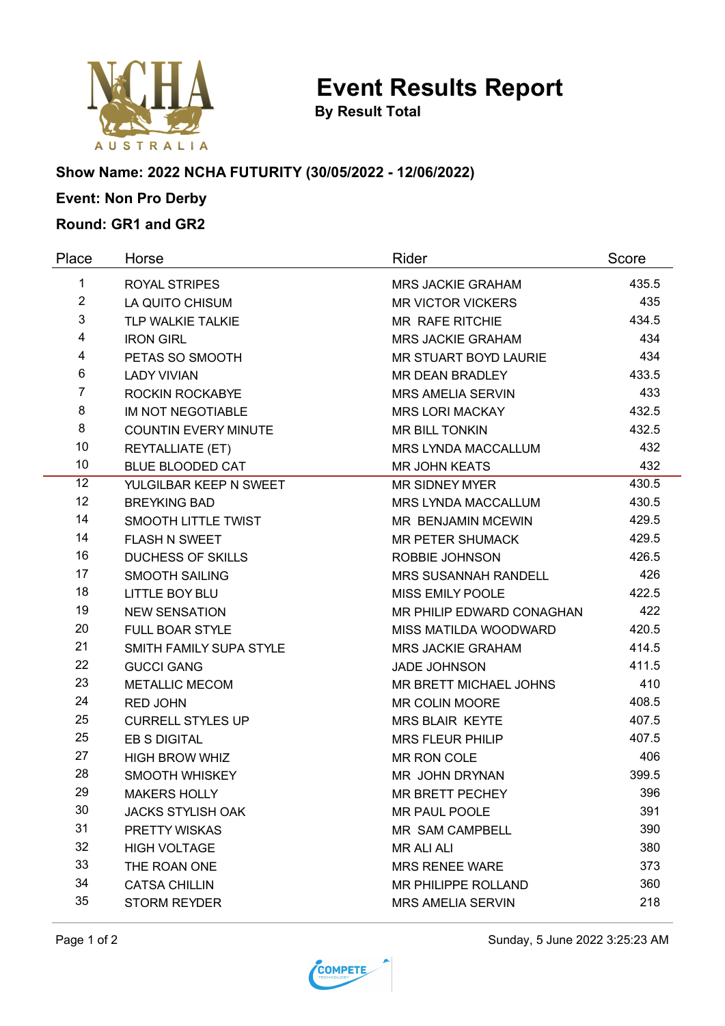

**Event Results Report**

**By Result Total**

# **Show Name: 2022 NCHA FUTURITY (30/05/2022 - 12/06/2022)**

# **Event: Non Pro Derby**

#### **Round: GR1 and GR2**

| Place          | Horse                       | Rider                       | Score |
|----------------|-----------------------------|-----------------------------|-------|
| $\mathbf{1}$   | <b>ROYAL STRIPES</b>        | <b>MRS JACKIE GRAHAM</b>    | 435.5 |
| $\overline{2}$ | LA QUITO CHISUM             | <b>MR VICTOR VICKERS</b>    | 435   |
| 3              | TLP WALKIE TALKIE           | <b>MR RAFE RITCHIE</b>      | 434.5 |
| 4              | <b>IRON GIRL</b>            | <b>MRS JACKIE GRAHAM</b>    | 434   |
| 4              | PETAS SO SMOOTH             | MR STUART BOYD LAURIE       | 434   |
| 6              | <b>LADY VIVIAN</b>          | MR DEAN BRADLEY             | 433.5 |
| $\overline{7}$ | ROCKIN ROCKABYE             | <b>MRS AMELIA SERVIN</b>    | 433   |
| 8              | <b>IM NOT NEGOTIABLE</b>    | <b>MRS LORI MACKAY</b>      | 432.5 |
| 8              | <b>COUNTIN EVERY MINUTE</b> | <b>MR BILL TONKIN</b>       | 432.5 |
| 10             | <b>REYTALLIATE (ET)</b>     | MRS LYNDA MACCALLUM         | 432   |
| 10             | <b>BLUE BLOODED CAT</b>     | <b>MR JOHN KEATS</b>        | 432   |
| 12             | YULGILBAR KEEP N SWEET      | <b>MR SIDNEY MYER</b>       | 430.5 |
| 12             | <b>BREYKING BAD</b>         | <b>MRS LYNDA MACCALLUM</b>  | 430.5 |
| 14             | SMOOTH LITTLE TWIST         | MR BENJAMIN MCEWIN          | 429.5 |
| 14             | <b>FLASH N SWEET</b>        | <b>MR PETER SHUMACK</b>     | 429.5 |
| 16             | <b>DUCHESS OF SKILLS</b>    | ROBBIE JOHNSON              | 426.5 |
| 17             | <b>SMOOTH SAILING</b>       | <b>MRS SUSANNAH RANDELL</b> | 426   |
| 18             | <b>LITTLE BOY BLU</b>       | MISS EMILY POOLE            | 422.5 |
| 19             | <b>NEW SENSATION</b>        | MR PHILIP EDWARD CONAGHAN   | 422   |
| 20             | <b>FULL BOAR STYLE</b>      | MISS MATILDA WOODWARD       | 420.5 |
| 21             | SMITH FAMILY SUPA STYLE     | <b>MRS JACKIE GRAHAM</b>    | 414.5 |
| 22             | <b>GUCCI GANG</b>           | <b>JADE JOHNSON</b>         | 411.5 |
| 23             | <b>METALLIC MECOM</b>       | MR BRETT MICHAEL JOHNS      | 410   |
| 24             | <b>RED JOHN</b>             | <b>MR COLIN MOORE</b>       | 408.5 |
| 25             | <b>CURRELL STYLES UP</b>    | <b>MRS BLAIR KEYTE</b>      | 407.5 |
| 25             | EB S DIGITAL                | <b>MRS FLEUR PHILIP</b>     | 407.5 |
| 27             | <b>HIGH BROW WHIZ</b>       | MR RON COLE                 | 406   |
| 28             | <b>SMOOTH WHISKEY</b>       | MR JOHN DRYNAN              | 399.5 |
| 29             | MAKERS HOLLY                | MR BRETT PECHEY             | 396   |
| 30             | <b>JACKS STYLISH OAK</b>    | MR PAUL POOLE               | 391   |
| 31             | PRETTY WISKAS               | MR SAM CAMPBELL             | 390   |
| 32             | <b>HIGH VOLTAGE</b>         | <b>MR ALI ALI</b>           | 380   |
| 33             | THE ROAN ONE                | <b>MRS RENEE WARE</b>       | 373   |
| 34             | <b>CATSA CHILLIN</b>        | <b>MR PHILIPPE ROLLAND</b>  | 360   |
| 35             | <b>STORM REYDER</b>         | <b>MRS AMELIA SERVIN</b>    | 218   |